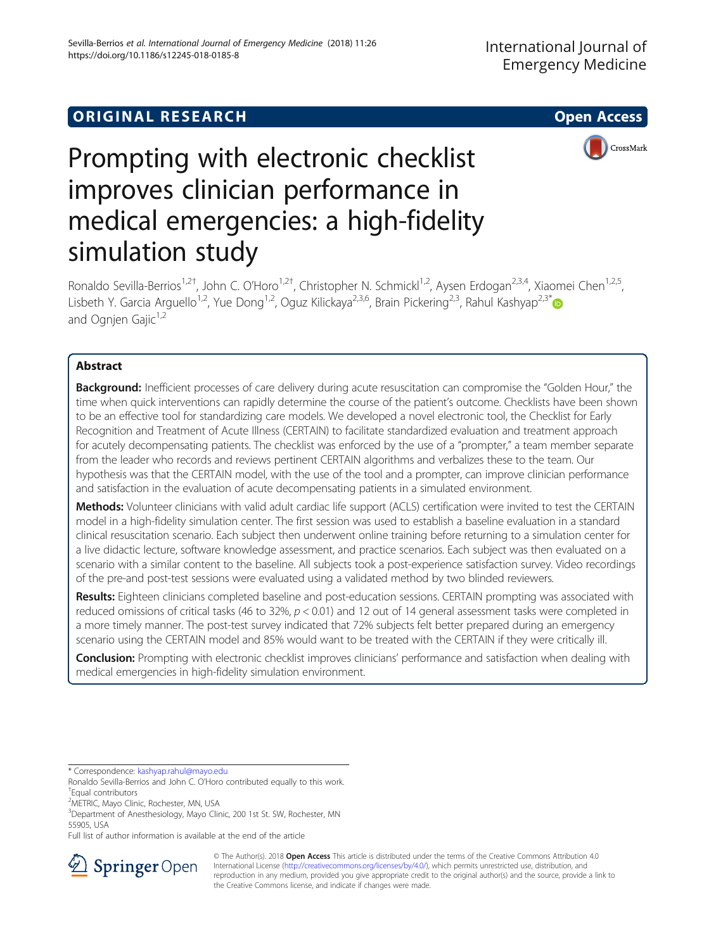## **ORIGINAL RESEARCH And Access** open Access of the United States of the United States of the United States of the U



# Prompting with electronic checklist improves clinician performance in medical emergencies: a high-fidelity simulation study

Ronaldo Sevilla-Berrios<sup>1,2†</sup>, John C. O'Horo<sup>1,2†</sup>, Christopher N. Schmickl<sup>1,2</sup>, Aysen Erdogan<sup>2,3,4</sup>, Xiaomei Chen<sup>1,2,5</sup>, Lisbeth Y. Garcia Arguello<sup>1,2</sup>, Yue Dong<sup>1,2</sup>, Oguz Kilickaya<sup>2,3,6</sup>, Brain Pickering<sup>2,3</sup>, Rahul Kashyap<sup>2,3\*</sup> and Ognjen Gajic<sup>1,2</sup>

## Abstract

Background: Inefficient processes of care delivery during acute resuscitation can compromise the "Golden Hour," the time when quick interventions can rapidly determine the course of the patient's outcome. Checklists have been shown to be an effective tool for standardizing care models. We developed a novel electronic tool, the Checklist for Early Recognition and Treatment of Acute Illness (CERTAIN) to facilitate standardized evaluation and treatment approach for acutely decompensating patients. The checklist was enforced by the use of a "prompter," a team member separate from the leader who records and reviews pertinent CERTAIN algorithms and verbalizes these to the team. Our hypothesis was that the CERTAIN model, with the use of the tool and a prompter, can improve clinician performance and satisfaction in the evaluation of acute decompensating patients in a simulated environment.

Methods: Volunteer clinicians with valid adult cardiac life support (ACLS) certification were invited to test the CERTAIN model in a high-fidelity simulation center. The first session was used to establish a baseline evaluation in a standard clinical resuscitation scenario. Each subject then underwent online training before returning to a simulation center for a live didactic lecture, software knowledge assessment, and practice scenarios. Each subject was then evaluated on a scenario with a similar content to the baseline. All subjects took a post-experience satisfaction survey. Video recordings of the pre-and post-test sessions were evaluated using a validated method by two blinded reviewers.

Results: Eighteen clinicians completed baseline and post-education sessions. CERTAIN prompting was associated with reduced omissions of critical tasks (46 to 32%,  $p < 0.01$ ) and 12 out of 14 general assessment tasks were completed in a more timely manner. The post-test survey indicated that 72% subjects felt better prepared during an emergency scenario using the CERTAIN model and 85% would want to be treated with the CERTAIN if they were critically ill.

**Conclusion:** Prompting with electronic checklist improves clinicians' performance and satisfaction when dealing with medical emergencies in high-fidelity simulation environment.

\* Correspondence: [kashyap.rahul@mayo.edu](mailto:kashyap.rahul@mayo.edu)

<sup>2</sup>METRIC, Mayo Clinic, Rochester, MN, USA

Full list of author information is available at the end of the article



© The Author(s). 2018 Open Access This article is distributed under the terms of the Creative Commons Attribution 4.0 International License ([http://creativecommons.org/licenses/by/4.0/\)](http://creativecommons.org/licenses/by/4.0/), which permits unrestricted use, distribution, and reproduction in any medium, provided you give appropriate credit to the original author(s) and the source, provide a link to the Creative Commons license, and indicate if changes were made.

Ronaldo Sevilla-Berrios and John C. O'Horo contributed equally to this work. †

Equal contributors

<sup>&</sup>lt;sup>3</sup>Department of Anesthesiology, Mayo Clinic, 200 1st St. SW, Rochester, MN 55905, USA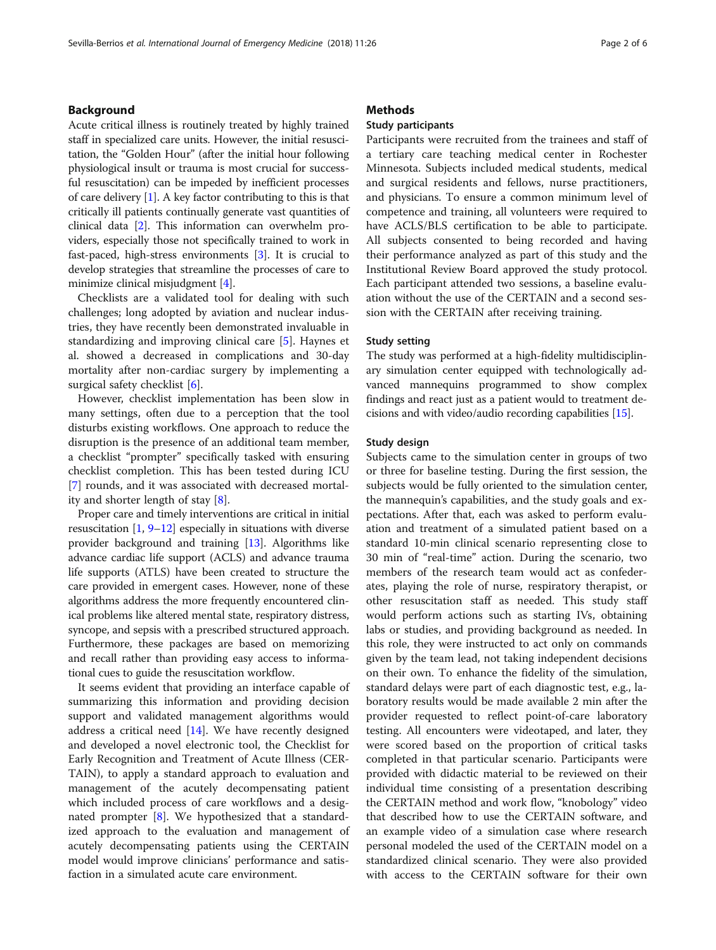## Background

Acute critical illness is routinely treated by highly trained staff in specialized care units. However, the initial resuscitation, the "Golden Hour" (after the initial hour following physiological insult or trauma is most crucial for successful resuscitation) can be impeded by inefficient processes of care delivery  $[1]$  $[1]$ . A key factor contributing to this is that critically ill patients continually generate vast quantities of clinical data [[2\]](#page-5-0). This information can overwhelm providers, especially those not specifically trained to work in fast-paced, high-stress environments [\[3](#page-5-0)]. It is crucial to develop strategies that streamline the processes of care to minimize clinical misjudgment [[4\]](#page-5-0).

Checklists are a validated tool for dealing with such challenges; long adopted by aviation and nuclear industries, they have recently been demonstrated invaluable in standardizing and improving clinical care [[5](#page-5-0)]. Haynes et al. showed a decreased in complications and 30-day mortality after non-cardiac surgery by implementing a surgical safety checklist [[6\]](#page-5-0).

However, checklist implementation has been slow in many settings, often due to a perception that the tool disturbs existing workflows. One approach to reduce the disruption is the presence of an additional team member, a checklist "prompter" specifically tasked with ensuring checklist completion. This has been tested during ICU [[7\]](#page-5-0) rounds, and it was associated with decreased mortality and shorter length of stay [\[8](#page-5-0)].

Proper care and timely interventions are critical in initial resuscitation  $\left[1, 9-12\right]$  $\left[1, 9-12\right]$  $\left[1, 9-12\right]$  $\left[1, 9-12\right]$  $\left[1, 9-12\right]$  $\left[1, 9-12\right]$  $\left[1, 9-12\right]$  especially in situations with diverse provider background and training [[13](#page-5-0)]. Algorithms like advance cardiac life support (ACLS) and advance trauma life supports (ATLS) have been created to structure the care provided in emergent cases. However, none of these algorithms address the more frequently encountered clinical problems like altered mental state, respiratory distress, syncope, and sepsis with a prescribed structured approach. Furthermore, these packages are based on memorizing and recall rather than providing easy access to informational cues to guide the resuscitation workflow.

It seems evident that providing an interface capable of summarizing this information and providing decision support and validated management algorithms would address a critical need  $[14]$ . We have recently designed and developed a novel electronic tool, the Checklist for Early Recognition and Treatment of Acute Illness (CER-TAIN), to apply a standard approach to evaluation and management of the acutely decompensating patient which included process of care workflows and a designated prompter [\[8](#page-5-0)]. We hypothesized that a standardized approach to the evaluation and management of acutely decompensating patients using the CERTAIN model would improve clinicians' performance and satisfaction in a simulated acute care environment.

## **Methods**

## Study participants

Participants were recruited from the trainees and staff of a tertiary care teaching medical center in Rochester Minnesota. Subjects included medical students, medical and surgical residents and fellows, nurse practitioners, and physicians. To ensure a common minimum level of competence and training, all volunteers were required to have ACLS/BLS certification to be able to participate. All subjects consented to being recorded and having their performance analyzed as part of this study and the Institutional Review Board approved the study protocol. Each participant attended two sessions, a baseline evaluation without the use of the CERTAIN and a second session with the CERTAIN after receiving training.

#### Study setting

The study was performed at a high-fidelity multidisciplinary simulation center equipped with technologically advanced mannequins programmed to show complex findings and react just as a patient would to treatment decisions and with video/audio recording capabilities [\[15\]](#page-5-0).

#### Study design

Subjects came to the simulation center in groups of two or three for baseline testing. During the first session, the subjects would be fully oriented to the simulation center, the mannequin's capabilities, and the study goals and expectations. After that, each was asked to perform evaluation and treatment of a simulated patient based on a standard 10-min clinical scenario representing close to 30 min of "real-time" action. During the scenario, two members of the research team would act as confederates, playing the role of nurse, respiratory therapist, or other resuscitation staff as needed. This study staff would perform actions such as starting IVs, obtaining labs or studies, and providing background as needed. In this role, they were instructed to act only on commands given by the team lead, not taking independent decisions on their own. To enhance the fidelity of the simulation, standard delays were part of each diagnostic test, e.g., laboratory results would be made available 2 min after the provider requested to reflect point-of-care laboratory testing. All encounters were videotaped, and later, they were scored based on the proportion of critical tasks completed in that particular scenario. Participants were provided with didactic material to be reviewed on their individual time consisting of a presentation describing the CERTAIN method and work flow, "knobology" video that described how to use the CERTAIN software, and an example video of a simulation case where research personal modeled the used of the CERTAIN model on a standardized clinical scenario. They were also provided with access to the CERTAIN software for their own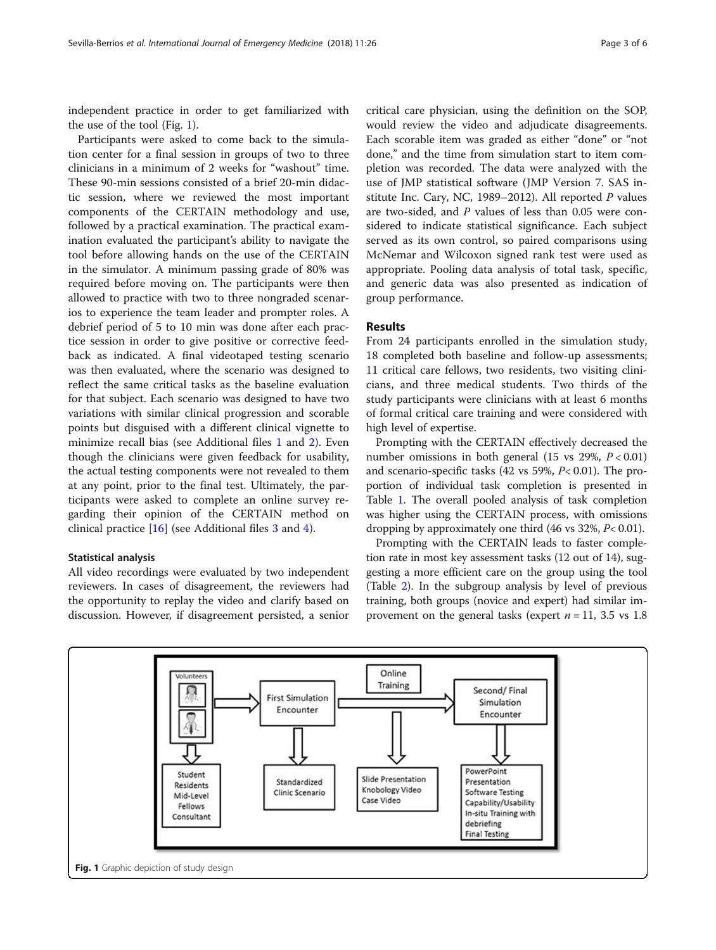independent practice in order to get familiarized with the use of the tool (Fig. 1).

Participants were asked to come back to the simulation center for a final session in groups of two to three clinicians in a minimum of 2 weeks for "washout" time. These 90-min sessions consisted of a brief 20-min didactic session, where we reviewed the most important components of the CERTAIN methodology and use, followed by a practical examination. The practical examination evaluated the participant's ability to navigate the tool before allowing hands on the use of the CERTAIN in the simulator. A minimum passing grade of 80% was required before moving on. The participants were then allowed to practice with two to three nongraded scenarios to experience the team leader and prompter roles. A debrief period of 5 to 10 min was done after each practice session in order to give positive or corrective feedback as indicated. A final videotaped testing scenario was then evaluated, where the scenario was designed to reflect the same critical tasks as the baseline evaluation for that subject. Each scenario was designed to have two variations with similar clinical progression and scorable points but disguised with a different clinical vignette to minimize recall bias (see Additional files [1](#page-4-0) and [2\)](#page-4-0). Even though the clinicians were given feedback for usability, the actual testing components were not revealed to them at any point, prior to the final test. Ultimately, the participants were asked to complete an online survey regarding their opinion of the CERTAIN method on clinical practice [[16\]](#page-5-0) (see Additional files [3](#page-4-0) and [4](#page-4-0)).

#### Statistical analysis

All video recordings were evaluated by two independent reviewers. In cases of disagreement, the reviewers had the opportunity to replay the video and clarify based on discussion. However, if disagreement persisted, a senior

critical care physician, using the definition on the SOP, would review the video and adjudicate disagreements. Each scorable item was graded as either "done" or "not done," and the time from simulation start to item completion was recorded. The data were analyzed with the use of JMP statistical software (JMP Version 7. SAS institute Inc. Cary, NC, 1989–2012). All reported  $P$  values are two-sided, and P values of less than 0.05 were considered to indicate statistical significance. Each subject served as its own control, so paired comparisons using McNemar and Wilcoxon signed rank test were used as appropriate. Pooling data analysis of total task, specific, and generic data was also presented as indication of group performance.

### Results

From 24 participants enrolled in the simulation study, 18 completed both baseline and follow-up assessments; 11 critical care fellows, two residents, two visiting clinicians, and three medical students. Two thirds of the study participants were clinicians with at least 6 months of formal critical care training and were considered with high level of expertise.

Prompting with the CERTAIN effectively decreased the number omissions in both general (15 vs 29%,  $P < 0.01$ ) and scenario-specific tasks (42 vs 59%, P< 0.01). The proportion of individual task completion is presented in Table [1.](#page-3-0) The overall pooled analysis of task completion was higher using the CERTAIN process, with omissions dropping by approximately one third (46 vs 32%, P< 0.01).

Prompting with the CERTAIN leads to faster completion rate in most key assessment tasks (12 out of 14), suggesting a more efficient care on the group using the tool (Table [2\)](#page-3-0). In the subgroup analysis by level of previous training, both groups (novice and expert) had similar improvement on the general tasks (expert  $n = 11$ , 3.5 vs 1.8

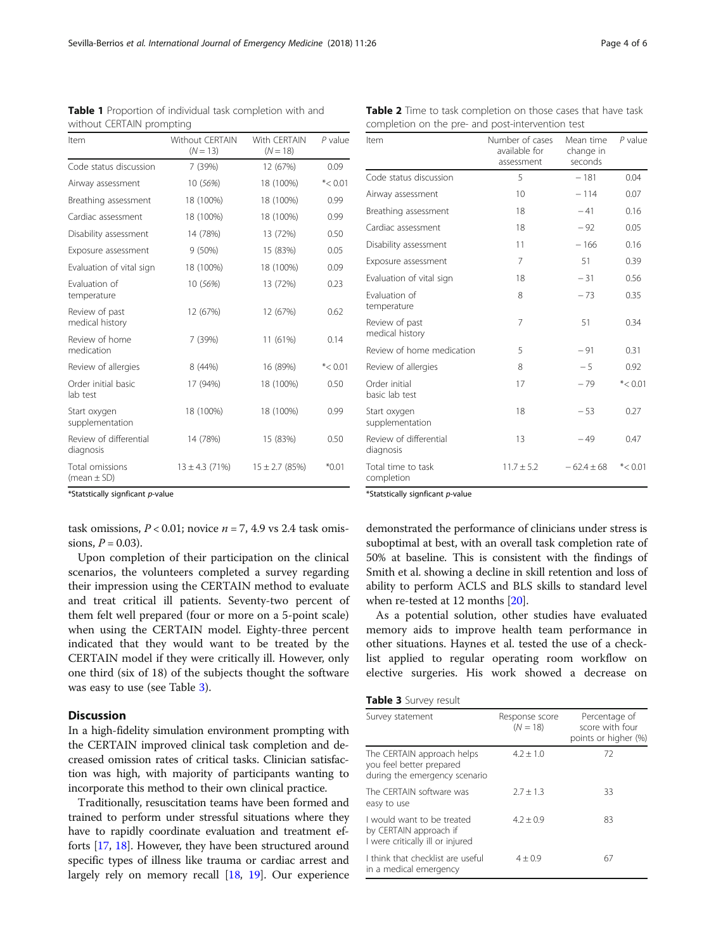\*Statstically signficant p-value

Evaluation of temperature

Review of past medical history

Review of home medication

Order initial basic lab test

Review of differential

Start oxygen supplementation

diagnosis

Total omissions  $(mean + SD)$ 

task omissions,  $P < 0.01$ ; novice  $n = 7$ , 4.9 vs 2.4 task omissions,  $P = 0.03$ ).

Upon completion of their participation on the clinical scenarios, the volunteers completed a survey regarding their impression using the CERTAIN method to evaluate and treat critical ill patients. Seventy-two percent of them felt well prepared (four or more on a 5-point scale) when using the CERTAIN model. Eighty-three percent indicated that they would want to be treated by the CERTAIN model if they were critically ill. However, only one third (six of 18) of the subjects thought the software was easy to use (see Table 3).

## **Discussion**

In a high-fidelity simulation environment prompting with the CERTAIN improved clinical task completion and decreased omission rates of critical tasks. Clinician satisfaction was high, with majority of participants wanting to incorporate this method to their own clinical practice.

Traditionally, resuscitation teams have been formed and trained to perform under stressful situations where they have to rapidly coordinate evaluation and treatment efforts [\[17,](#page-5-0) [18\]](#page-5-0). However, they have been structured around specific types of illness like trauma or cardiac arrest and largely rely on memory recall [\[18,](#page-5-0) [19](#page-5-0)]. Our experience \*Statstically signficant p-value

demonstrated the performance of clinicians under stress is suboptimal at best, with an overall task completion rate of 50% at baseline. This is consistent with the findings of Smith et al. showing a decline in skill retention and loss of ability to perform ACLS and BLS skills to standard level when re-tested at 12 months [\[20\]](#page-5-0).

As a potential solution, other studies have evaluated memory aids to improve health team performance in other situations. Haynes et al. tested the use of a checklist applied to regular operating room workflow on elective surgeries. His work showed a decrease on

| Table 3 Survey result |  |  |
|-----------------------|--|--|
|-----------------------|--|--|

| Survey statement                                                                         | Response score<br>$(N = 18)$ | Percentage of<br>score with four<br>points or higher (%) |  |  |  |
|------------------------------------------------------------------------------------------|------------------------------|----------------------------------------------------------|--|--|--|
| The CERTAIN approach helps<br>you feel better prepared<br>during the emergency scenario  | $4.2 \pm 1.0$                | 72                                                       |  |  |  |
| The CERTAIN software was<br>easy to use                                                  | $2.7 \pm 1.3$                | 33                                                       |  |  |  |
| I would want to be treated<br>by CERTAIN approach if<br>I were critically ill or injured | $4.2 \pm 0.9$                | 83                                                       |  |  |  |
| I think that checklist are useful<br>in a medical emergency                              | $4 \pm 0.9$                  | 67                                                       |  |  |  |

| without CERTAIN prompting |                                      |                            |            |  |  |  |
|---------------------------|--------------------------------------|----------------------------|------------|--|--|--|
| Item                      | <b>Without CERTAIN</b><br>$(N = 13)$ | With CERTAIN<br>$(N = 18)$ | $P$ value  |  |  |  |
| Code status discussion    | 7 (39%)                              | 12 (67%)                   | 0.09       |  |  |  |
| Airway assessment         | 10 (56%)                             | 18 (100%)                  | $* < 0.01$ |  |  |  |
| Breathing assessment      | 18 (100%)                            | 18 (100%)                  | 0.99       |  |  |  |
| Cardiac assessment        | 18 (100%)                            | 18 (100%)                  | 0.99       |  |  |  |
| Disability assessment     | 14 (78%)                             | 13 (72%)                   | 0.50       |  |  |  |

Exposure assessment 9 (50%) 15 (83%) 0.05 Evaluation of vital sign 18 (100%) 18 (100%) 0.09

Review of allergies 8 (44%) 16 (89%) \*< 0.01

10 (56%) 13 (72%) 0.23

12 (67%) 12 (67%) 0.62

7 (39%) 11 (61%) 0.14

17 (94%) 18 (100%) 0.50

18 (100%) 18 (100%) 0.99

14 (78%) 15 (83%) 0.50

 $13 \pm 4.3$  (71%)  $15 \pm 2.7$  (85%) \*0.01

<span id="page-3-0"></span>Table 1 Proportion of individual task completion with and

| <b>Table 2</b> Time to task completion on those cases that have task |
|----------------------------------------------------------------------|
| completion on the pre- and post-intervention test                    |

| Item                                | Number of cases<br>available for<br>assessment | Mean time<br>change in<br>seconds | $P$ value  |
|-------------------------------------|------------------------------------------------|-----------------------------------|------------|
| Code status discussion              | 5                                              | $-181$                            | 0.04       |
| Airway assessment                   | 10                                             | $-114$                            | 0.07       |
| Breathing assessment                | 18                                             | $-41$                             | 0.16       |
| Cardiac assessment                  | 18                                             | $-92$                             | 0.05       |
| Disability assessment               | 11                                             | $-166$                            | 0.16       |
| Exposure assessment                 | 7                                              | 51                                | 0.39       |
| Evaluation of vital sign            | 18                                             | $-31$                             | 0.56       |
| Evaluation of<br>temperature        | 8                                              | $-73$                             | 0.35       |
| Review of past<br>medical history   | 7                                              | 51                                | 0.34       |
| Review of home medication           | 5                                              | $-91$                             | 0.31       |
| Review of allergies                 | 8                                              | $-5$                              | 0.92       |
| Order initial<br>basic lab test     | 17                                             | $-79$                             | $* < 0.01$ |
| Start oxygen<br>supplementation     | 18                                             | $-53$                             | 0.27       |
| Review of differential<br>diagnosis | 13                                             | $-49$                             | 0.47       |
| Total time to task<br>completion    | $11.7 \pm 5.2$                                 | $-62.4 \pm 68$                    | $* < 0.01$ |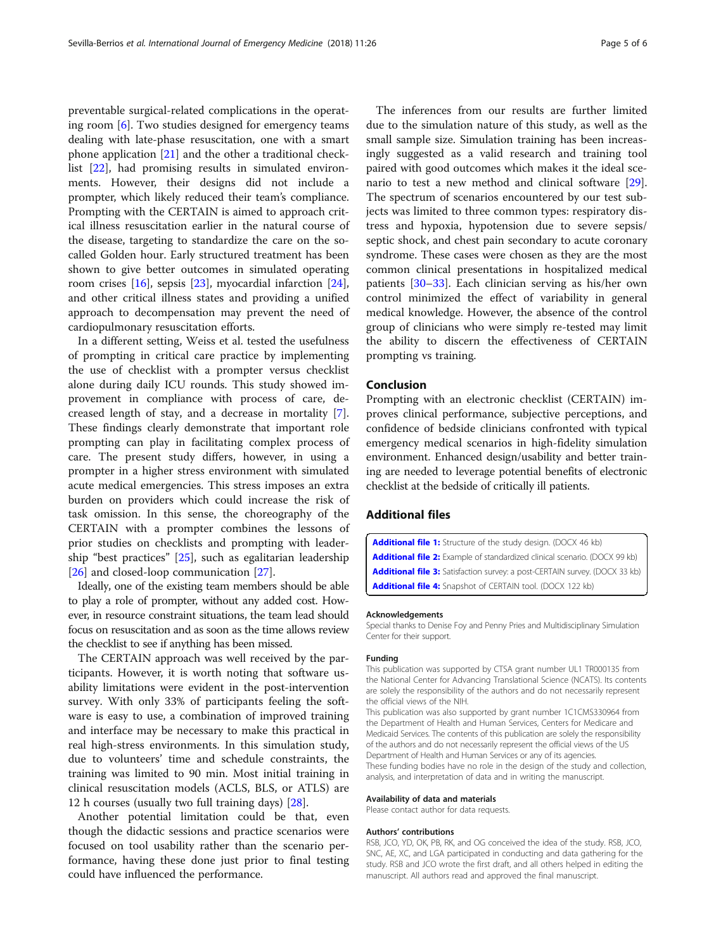<span id="page-4-0"></span>preventable surgical-related complications in the operating room [[6](#page-5-0)]. Two studies designed for emergency teams dealing with late-phase resuscitation, one with a smart phone application [\[21](#page-5-0)] and the other a traditional checklist [\[22](#page-5-0)], had promising results in simulated environments. However, their designs did not include a prompter, which likely reduced their team's compliance. Prompting with the CERTAIN is aimed to approach critical illness resuscitation earlier in the natural course of the disease, targeting to standardize the care on the socalled Golden hour. Early structured treatment has been shown to give better outcomes in simulated operating room crises [\[16\]](#page-5-0), sepsis [\[23](#page-5-0)], myocardial infarction [\[24](#page-5-0)], and other critical illness states and providing a unified approach to decompensation may prevent the need of cardiopulmonary resuscitation efforts.

In a different setting, Weiss et al. tested the usefulness of prompting in critical care practice by implementing the use of checklist with a prompter versus checklist alone during daily ICU rounds. This study showed improvement in compliance with process of care, decreased length of stay, and a decrease in mortality [\[7](#page-5-0)]. These findings clearly demonstrate that important role prompting can play in facilitating complex process of care. The present study differs, however, in using a prompter in a higher stress environment with simulated acute medical emergencies. This stress imposes an extra burden on providers which could increase the risk of task omission. In this sense, the choreography of the CERTAIN with a prompter combines the lessons of prior studies on checklists and prompting with leadership "best practices" [\[25](#page-5-0)], such as egalitarian leadership [[26\]](#page-5-0) and closed-loop communication [\[27\]](#page-5-0).

Ideally, one of the existing team members should be able to play a role of prompter, without any added cost. However, in resource constraint situations, the team lead should focus on resuscitation and as soon as the time allows review the checklist to see if anything has been missed.

The CERTAIN approach was well received by the participants. However, it is worth noting that software usability limitations were evident in the post-intervention survey. With only 33% of participants feeling the software is easy to use, a combination of improved training and interface may be necessary to make this practical in real high-stress environments. In this simulation study, due to volunteers' time and schedule constraints, the training was limited to 90 min. Most initial training in clinical resuscitation models (ACLS, BLS, or ATLS) are 12 h courses (usually two full training days) [[28\]](#page-5-0).

Another potential limitation could be that, even though the didactic sessions and practice scenarios were focused on tool usability rather than the scenario performance, having these done just prior to final testing could have influenced the performance.

The inferences from our results are further limited due to the simulation nature of this study, as well as the small sample size. Simulation training has been increasingly suggested as a valid research and training tool paired with good outcomes which makes it the ideal scenario to test a new method and clinical software [\[29](#page-5-0)]. The spectrum of scenarios encountered by our test subjects was limited to three common types: respiratory distress and hypoxia, hypotension due to severe sepsis/ septic shock, and chest pain secondary to acute coronary syndrome. These cases were chosen as they are the most common clinical presentations in hospitalized medical patients [\[30](#page-5-0)–[33\]](#page-5-0). Each clinician serving as his/her own control minimized the effect of variability in general medical knowledge. However, the absence of the control group of clinicians who were simply re-tested may limit the ability to discern the effectiveness of CERTAIN prompting vs training.

## Conclusion

Prompting with an electronic checklist (CERTAIN) improves clinical performance, subjective perceptions, and confidence of bedside clinicians confronted with typical emergency medical scenarios in high-fidelity simulation environment. Enhanced design/usability and better training are needed to leverage potential benefits of electronic checklist at the bedside of critically ill patients.

## Additional files

[Additional file 1:](https://doi.org/10.1186/s12245-018-0185-8) Structure of the study design. (DOCX 46 kb) [Additional file 2:](https://doi.org/10.1186/s12245-018-0185-8) Example of standardized clinical scenario. (DOCX 99 kb) [Additional file 3:](https://doi.org/10.1186/s12245-018-0185-8) Satisfaction survey: a post-CERTAIN survey. (DOCX 33 kb) [Additional file 4:](https://doi.org/10.1186/s12245-018-0185-8) Snapshot of CERTAIN tool. (DOCX 122 kb)

#### Acknowledgements

Special thanks to Denise Foy and Penny Pries and Multidisciplinary Simulation Center for their support.

#### Funding

This publication was supported by CTSA grant number UL1 TR000135 from the National Center for Advancing Translational Science (NCATS). Its contents are solely the responsibility of the authors and do not necessarily represent the official views of the NIH.

This publication was also supported by grant number 1C1CMS330964 from the Department of Health and Human Services, Centers for Medicare and Medicaid Services. The contents of this publication are solely the responsibility of the authors and do not necessarily represent the official views of the US Department of Health and Human Services or any of its agencies. These funding bodies have no role in the design of the study and collection, analysis, and interpretation of data and in writing the manuscript.

#### Availability of data and materials

Please contact author for data requests.

#### Authors' contributions

RSB, JCO, YD, OK, PB, RK, and OG conceived the idea of the study. RSB, JCO, SNC, AE, XC, and LGA participated in conducting and data gathering for the study. RSB and JCO wrote the first draft, and all others helped in editing the manuscript. All authors read and approved the final manuscript.